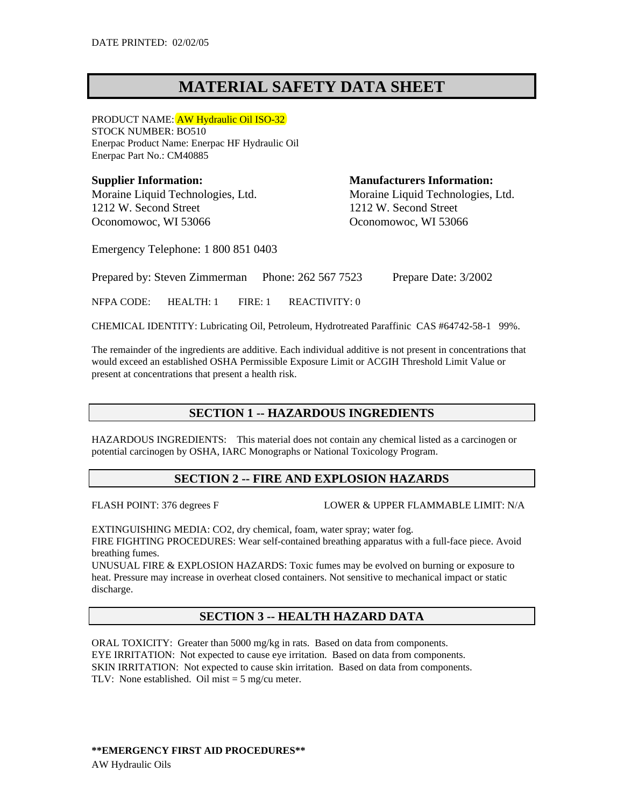# **MATERIAL SAFETY DATA SHEET**

PRODUCT NAME: AW Hydraulic Oil ISO-32 STOCK NUMBER: BO510 Enerpac Product Name: Enerpac HF Hydraulic Oil Enerpac Part No.: CM40885

**Supplier Information: Manufacturers Information:** 1212 W. Second Street 1212 W. Second Street Oconomowoc, WI 53066 Oconomowoc, WI 53066

Moraine Liquid Technologies, Ltd. Moraine Liquid Technologies, Ltd.

Emergency Telephone: 1 800 851 0403

Prepared by: Steven Zimmerman Phone: 262 567 7523 Prepare Date: 3/2002

NFPA CODE: HEALTH: 1 FIRE: 1 REACTIVITY: 0

CHEMICAL IDENTITY: Lubricating Oil, Petroleum, Hydrotreated Paraffinic CAS #64742-58-1 99%.

The remainder of the ingredients are additive. Each individual additive is not present in concentrations that would exceed an established OSHA Permissible Exposure Limit or ACGIH Threshold Limit Value or present at concentrations that present a health risk.

# **SECTION 1 -- HAZARDOUS INGREDIENTS**

HAZARDOUS INGREDIENTS: This material does not contain any chemical listed as a carcinogen or potential carcinogen by OSHA, IARC Monographs or National Toxicology Program.

# **SECTION 2 -- FIRE AND EXPLOSION HAZARDS**

FLASH POINT: 376 degrees F LOWER & UPPER FLAMMABLE LIMIT: N/A

EXTINGUISHING MEDIA: CO2, dry chemical, foam, water spray; water fog. FIRE FIGHTING PROCEDURES: Wear self-contained breathing apparatus with a full-face piece. Avoid breathing fumes.

UNUSUAL FIRE & EXPLOSION HAZARDS: Toxic fumes may be evolved on burning or exposure to heat. Pressure may increase in overheat closed containers. Not sensitive to mechanical impact or static discharge.

# **SECTION 3 -- HEALTH HAZARD DATA**

ORAL TOXICITY: Greater than 5000 mg/kg in rats. Based on data from components. EYE IRRITATION: Not expected to cause eye irritation. Based on data from components. SKIN IRRITATION: Not expected to cause skin irritation. Based on data from components. TLV: None established. Oil mist  $=$  5 mg/cu meter.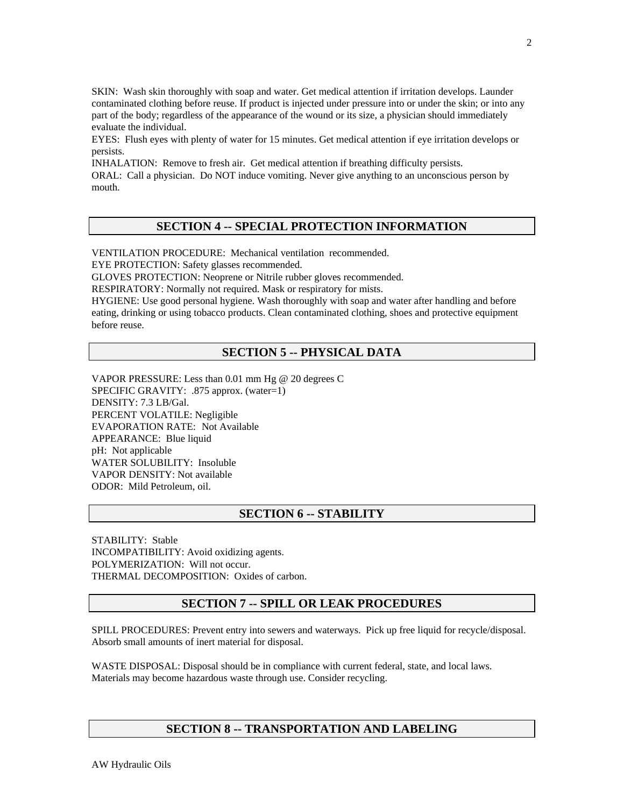SKIN: Wash skin thoroughly with soap and water. Get medical attention if irritation develops. Launder contaminated clothing before reuse. If product is injected under pressure into or under the skin; or into any part of the body; regardless of the appearance of the wound or its size, a physician should immediately evaluate the individual.

EYES: Flush eyes with plenty of water for 15 minutes. Get medical attention if eye irritation develops or persists.

INHALATION: Remove to fresh air. Get medical attention if breathing difficulty persists. ORAL: Call a physician. Do NOT induce vomiting. Never give anything to an unconscious person by mouth.

# **SECTION 4 -- SPECIAL PROTECTION INFORMATION**

VENTILATION PROCEDURE: Mechanical ventilation recommended. EYE PROTECTION: Safety glasses recommended.

GLOVES PROTECTION: Neoprene or Nitrile rubber gloves recommended.

RESPIRATORY: Normally not required. Mask or respiratory for mists.

HYGIENE: Use good personal hygiene. Wash thoroughly with soap and water after handling and before eating, drinking or using tobacco products. Clean contaminated clothing, shoes and protective equipment before reuse.

### **SECTION 5 -- PHYSICAL DATA**

VAPOR PRESSURE: Less than 0.01 mm Hg @ 20 degrees C SPECIFIC GRAVITY: .875 approx. (water=1) DENSITY: 7.3 LB/Gal. PERCENT VOLATILE: Negligible EVAPORATION RATE: Not Available APPEARANCE: Blue liquid pH: Not applicable WATER SOLUBILITY: Insoluble VAPOR DENSITY: Not available ODOR: Mild Petroleum, oil.

### **SECTION 6 -- STABILITY**

STABILITY: Stable INCOMPATIBILITY: Avoid oxidizing agents. POLYMERIZATION: Will not occur. THERMAL DECOMPOSITION: Oxides of carbon.

### **SECTION 7 -- SPILL OR LEAK PROCEDURES**

SPILL PROCEDURES: Prevent entry into sewers and waterways. Pick up free liquid for recycle/disposal. Absorb small amounts of inert material for disposal.

WASTE DISPOSAL: Disposal should be in compliance with current federal, state, and local laws. Materials may become hazardous waste through use. Consider recycling.

### **SECTION 8 -- TRANSPORTATION AND LABELING**